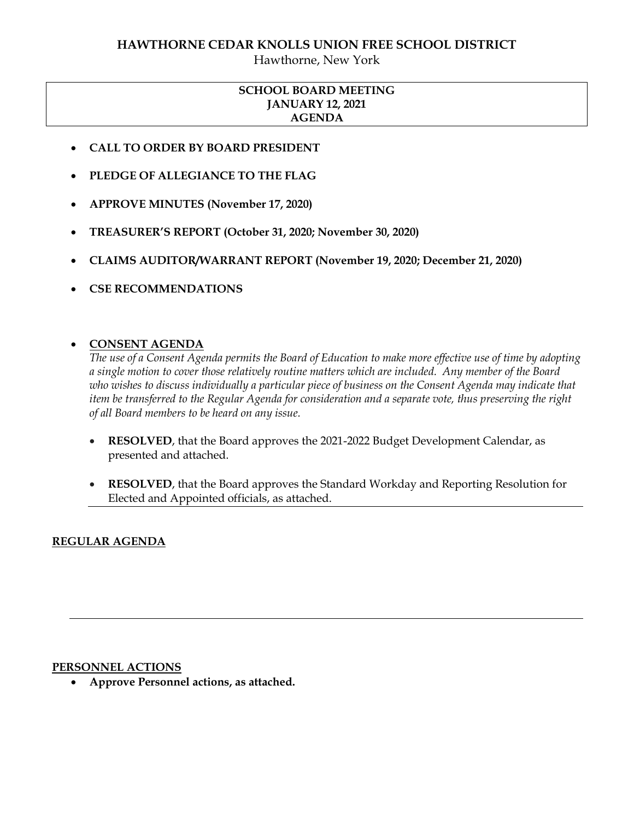# **HAWTHORNE CEDAR KNOLLS UNION FREE SCHOOL DISTRICT**

Hawthorne, New York

## **SCHOOL BOARD MEETING JANUARY 12, 2021 AGENDA**

- **CALL TO ORDER BY BOARD PRESIDENT**
- **PLEDGE OF ALLEGIANCE TO THE FLAG**
- **APPROVE MINUTES (November 17, 2020)**
- **TREASURER'S REPORT (October 31, 2020; November 30, 2020)**
- **CLAIMS AUDITOR/WARRANT REPORT (November 19, 2020; December 21, 2020)**
- **CSE RECOMMENDATIONS**

## **CONSENT AGENDA**

*The use of a Consent Agenda permits the Board of Education to make more effective use of time by adopting a single motion to cover those relatively routine matters which are included. Any member of the Board who wishes to discuss individually a particular piece of business on the Consent Agenda may indicate that item be transferred to the Regular Agenda for consideration and a separate vote, thus preserving the right of all Board members to be heard on any issue.* 

- **RESOLVED**, that the Board approves the 2021-2022 Budget Development Calendar, as presented and attached.
- **RESOLVED**, that the Board approves the Standard Workday and Reporting Resolution for Elected and Appointed officials, as attached.

## **REGULAR AGENDA**

#### **PERSONNEL ACTIONS**

**Approve Personnel actions, as attached.**